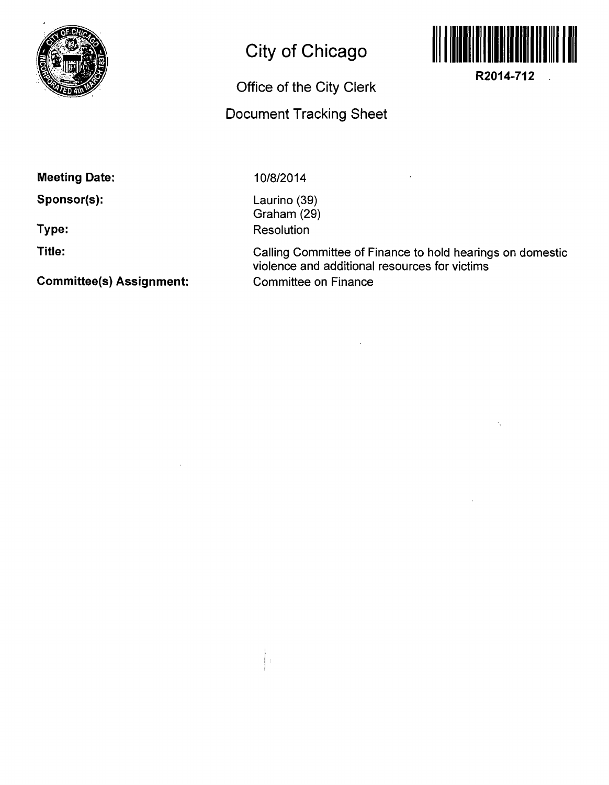

## **City of Chicago**

## **Office of the City Clerk**

## **Document Tracking Sheet**



**R2014-712** 

N.

 $\mathcal{L}_{\mathcal{L}}$ 

**Meeting Date:** 

**Sponsor(s):** 

**Type:** 

**Title:** 

**Committee(s) Assignment:** 

10/8/2014

 $\frac{1}{2}$ 

Laurino (39) Graham (29) **Resolution** 

Calling Committee of Finance to hold hearings on domestic violence and additional resources for victims Committee on Finance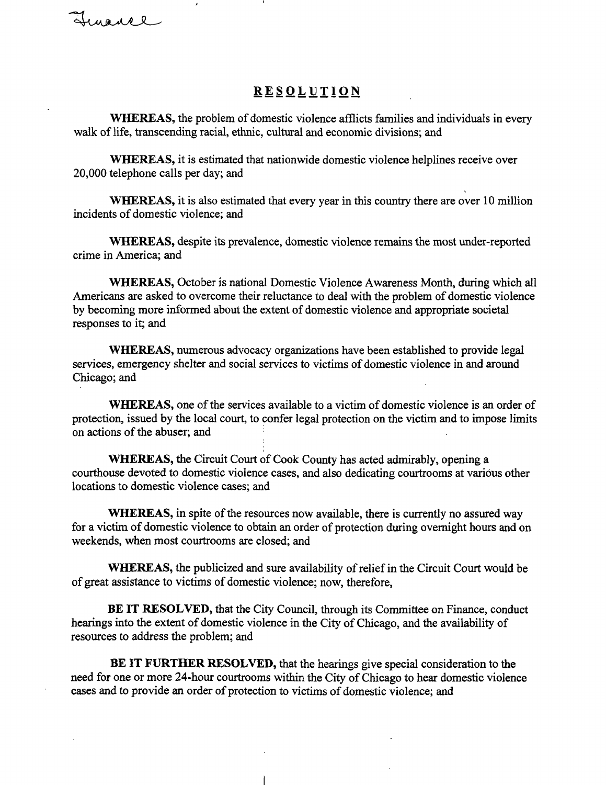## **RESOLUTIO N**

WHEREAS, the problem of domestic violence afflicts families and individuals in every walk of life, transcending racial, ethnic, cultural and economic divisions; and

WHEREAS, it is estimated that nationwide domestic violence helplines receive over 20,000 telephone calls per day; and

WHEREAS, it is also estimated that every year in this country there are over 10 million incidents of domestic violence; and

WHEREAS, despite its prevalence, domestic violence remains the most under-reported crime in America; and

WHEREAS, October is national Domestic Violence Awareness Month, during which all Americans are asked to overcome their reluctance to deal with the problem of domestic violence by becoming more informed about the extent of domestic violence and appropriate societal responses to it; and

WHEREAS, numerous advocacy organizations have been established to provide legal services, emergency shelter and social services to victims of domestic violence in and around Chicago; and

WHEREAS, one of the services available to a victim of domestic violence is an order of protection, issued by the local court, to confer legal protection on the victim and to impose limits on actions of the abuser; and

WHEREAS, the Circuit Court of Cook County has acted admirably, opening a courthouse devoted to domestic violence cases, and also dedicating courtrooms at various other locations to domestic violence cases; and

WHEREAS, in spite of the resources now available, there is currently no assured way for a victim of domestic violence to obtain an order of protection during overnight hours and on weekends, when most courtrooms are closed; and

WHEREAS, the publicized and sure availability of relief in the Circuit Court would be of great assistance to victims of domestic violence; now, therefore,

BE IT RESOLVED, that the City Council, through its Committee on Finance, conduct hearings into the extent of domestic violence in the City of Chicago, and the availability of resources to address the problem; and

BE IT FURTHER RESOLVED, that the hearings give special consideration to the need for one or more 24-hour courtrooms within the City of Chicago to hear domestic violence cases and to provide an order of protection to victims of domestic violence; and